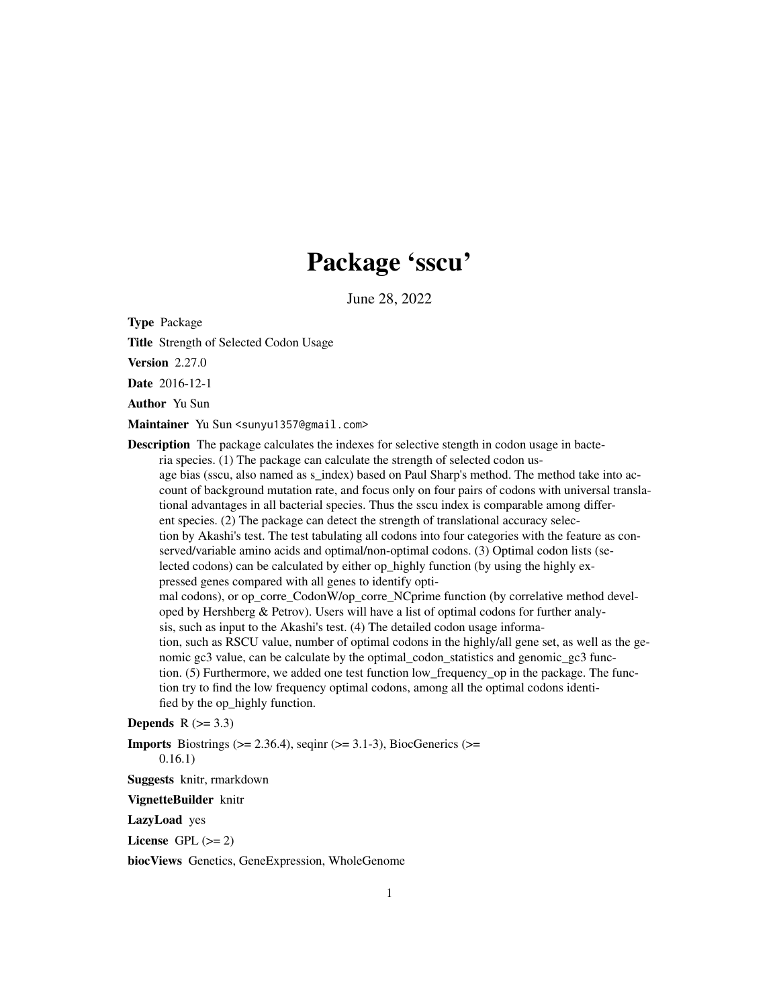## Package 'sscu'

June 28, 2022

<span id="page-0-0"></span>Type Package

Title Strength of Selected Codon Usage

Version 2.27.0

Date 2016-12-1

Author Yu Sun

Maintainer Yu Sun <sunyu1357@gmail.com>

Description The package calculates the indexes for selective stength in codon usage in bacteria species. (1) The package can calculate the strength of selected codon usage bias (sscu, also named as s\_index) based on Paul Sharp's method. The method take into account of background mutation rate, and focus only on four pairs of codons with universal translational advantages in all bacterial species. Thus the sscu index is comparable among different species. (2) The package can detect the strength of translational accuracy selection by Akashi's test. The test tabulating all codons into four categories with the feature as conserved/variable amino acids and optimal/non-optimal codons. (3) Optimal codon lists (selected codons) can be calculated by either op\_highly function (by using the highly expressed genes compared with all genes to identify optimal codons), or op\_corre\_CodonW/op\_corre\_NCprime function (by correlative method developed by Hershberg  $&$  Petrov). Users will have a list of optimal codons for further analysis, such as input to the Akashi's test. (4) The detailed codon usage information, such as RSCU value, number of optimal codons in the highly/all gene set, as well as the genomic gc3 value, can be calculate by the optimal\_codon\_statistics and genomic\_gc3 function. (5) Furthermore, we added one test function low\_frequency\_op in the package. The function try to find the low frequency optimal codons, among all the optimal codons identified by the op\_highly function.

#### **Depends**  $R$  ( $>= 3.3$ )

**Imports** Biostrings ( $>= 2.36.4$ ), seginr ( $>= 3.1-3$ ), BiocGenerics ( $>=$ 

0.16.1)

Suggests knitr, rmarkdown

VignetteBuilder knitr

LazyLoad yes

License GPL  $(>= 2)$ 

biocViews Genetics, GeneExpression, WholeGenome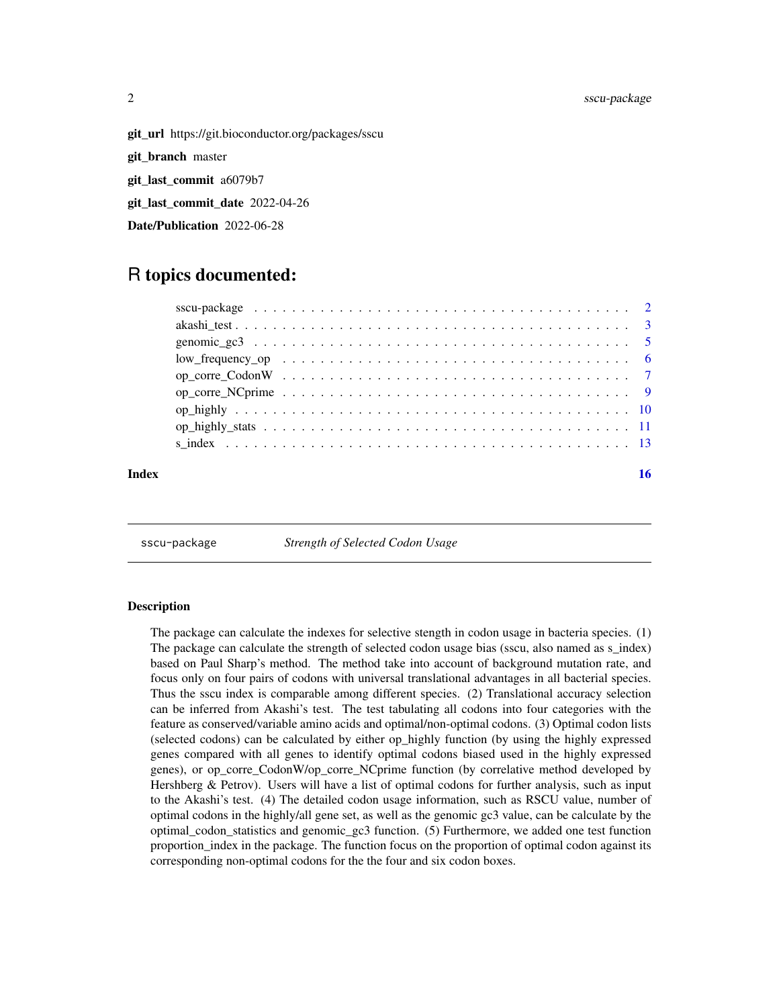<span id="page-1-0"></span>

git\_url https://git.bioconductor.org/packages/sscu

git\_branch master

git\_last\_commit a6079b7

git\_last\_commit\_date 2022-04-26

Date/Publication 2022-06-28

### R topics documented:

| Index |  |
|-------|--|
|       |  |
|       |  |
|       |  |
|       |  |
|       |  |
|       |  |
|       |  |
|       |  |
|       |  |

sscu-package *Strength of Selected Codon Usage*

#### Description

The package can calculate the indexes for selective stength in codon usage in bacteria species. (1) The package can calculate the strength of selected codon usage bias (sscu, also named as s\_index) based on Paul Sharp's method. The method take into account of background mutation rate, and focus only on four pairs of codons with universal translational advantages in all bacterial species. Thus the sscu index is comparable among different species. (2) Translational accuracy selection can be inferred from Akashi's test. The test tabulating all codons into four categories with the feature as conserved/variable amino acids and optimal/non-optimal codons. (3) Optimal codon lists (selected codons) can be calculated by either op\_highly function (by using the highly expressed genes compared with all genes to identify optimal codons biased used in the highly expressed genes), or op\_corre\_CodonW/op\_corre\_NCprime function (by correlative method developed by Hershberg & Petrov). Users will have a list of optimal codons for further analysis, such as input to the Akashi's test. (4) The detailed codon usage information, such as RSCU value, number of optimal codons in the highly/all gene set, as well as the genomic gc3 value, can be calculate by the optimal\_codon\_statistics and genomic\_gc3 function. (5) Furthermore, we added one test function proportion\_index in the package. The function focus on the proportion of optimal codon against its corresponding non-optimal codons for the the four and six codon boxes.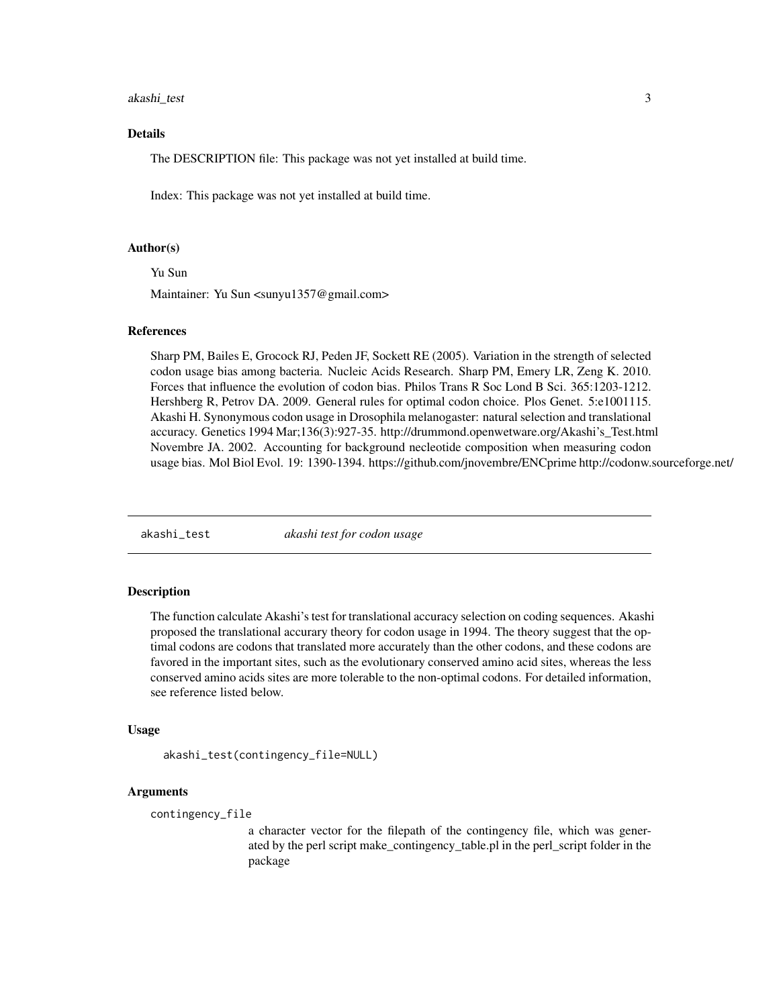#### <span id="page-2-0"></span>akashi\_test 3

#### Details

The DESCRIPTION file: This package was not yet installed at build time.

Index: This package was not yet installed at build time.

#### Author(s)

Yu Sun

Maintainer: Yu Sun <sunyu1357@gmail.com>

#### References

Sharp PM, Bailes E, Grocock RJ, Peden JF, Sockett RE (2005). Variation in the strength of selected codon usage bias among bacteria. Nucleic Acids Research. Sharp PM, Emery LR, Zeng K. 2010. Forces that influence the evolution of codon bias. Philos Trans R Soc Lond B Sci. 365:1203-1212. Hershberg R, Petrov DA. 2009. General rules for optimal codon choice. Plos Genet. 5:e1001115. Akashi H. Synonymous codon usage in Drosophila melanogaster: natural selection and translational accuracy. Genetics 1994 Mar;136(3):927-35. http://drummond.openwetware.org/Akashi's\_Test.html Novembre JA. 2002. Accounting for background necleotide composition when measuring codon usage bias. Mol Biol Evol. 19: 1390-1394. https://github.com/jnovembre/ENCprime http://codonw.sourceforge.net/

akashi\_test *akashi test for codon usage*

#### Description

The function calculate Akashi's test for translational accuracy selection on coding sequences. Akashi proposed the translational accurary theory for codon usage in 1994. The theory suggest that the optimal codons are codons that translated more accurately than the other codons, and these codons are favored in the important sites, such as the evolutionary conserved amino acid sites, whereas the less conserved amino acids sites are more tolerable to the non-optimal codons. For detailed information, see reference listed below.

#### Usage

```
akashi_test(contingency_file=NULL)
```
#### Arguments

```
contingency_file
```
a character vector for the filepath of the contingency file, which was generated by the perl script make\_contingency\_table.pl in the perl\_script folder in the package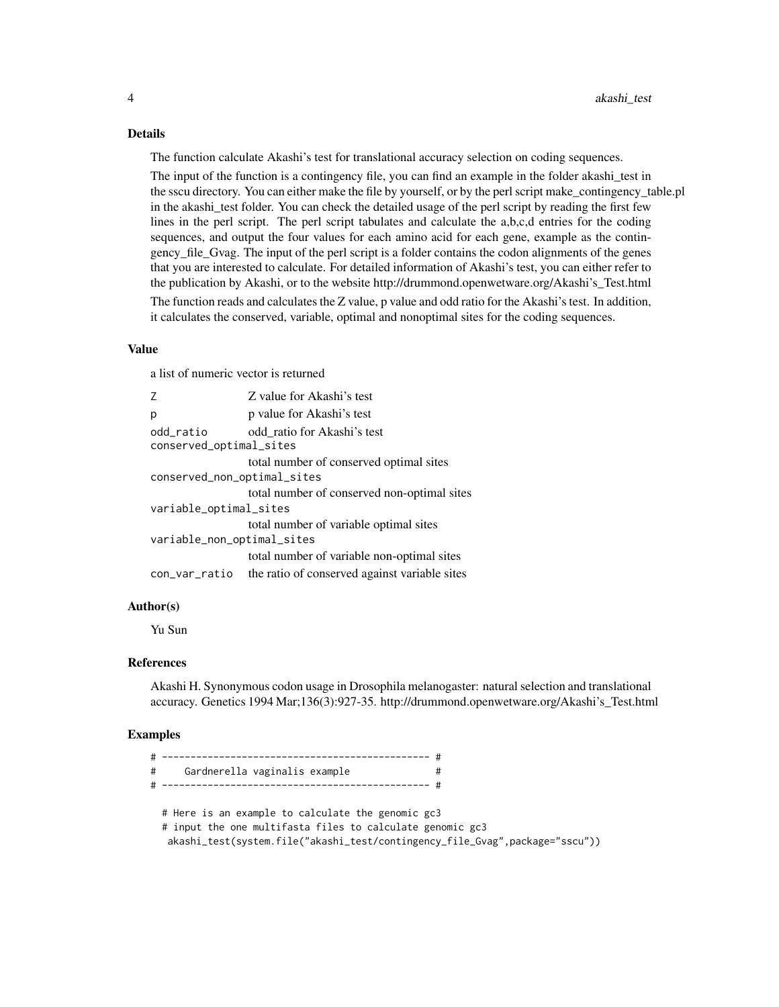#### Details

The function calculate Akashi's test for translational accuracy selection on coding sequences.

The input of the function is a contingency file, you can find an example in the folder akashi\_test in the sscu directory. You can either make the file by yourself, or by the perl script make\_contingency\_table.pl in the akashi\_test folder. You can check the detailed usage of the perl script by reading the first few lines in the perl script. The perl script tabulates and calculate the a,b,c,d entries for the coding sequences, and output the four values for each amino acid for each gene, example as the contingency\_file\_Gvag. The input of the perl script is a folder contains the codon alignments of the genes that you are interested to calculate. For detailed information of Akashi's test, you can either refer to the publication by Akashi, or to the website http://drummond.openwetware.org/Akashi's\_Test.html

The function reads and calculates the Z value, p value and odd ratio for the Akashi's test. In addition, it calculates the conserved, variable, optimal and nonoptimal sites for the coding sequences.

#### Value

a list of numeric vector is returned

| Z                                    | Z value for Akashi's test                     |
|--------------------------------------|-----------------------------------------------|
| р                                    | p value for Akashi's test                     |
| odd_ratio<br>conserved_optimal_sites | odd ratio for Akashi's test                   |
|                                      | total number of conserved optimal sites       |
| conserved_non_optimal_sites          |                                               |
|                                      | total number of conserved non-optimal sites   |
| variable_optimal_sites               |                                               |
|                                      | total number of variable optimal sites        |
| variable_non_optimal_sites           |                                               |
|                                      | total number of variable non-optimal sites    |
| con_var_ratio                        | the ratio of conserved against variable sites |

#### Author(s)

Yu Sun

#### References

Akashi H. Synonymous codon usage in Drosophila melanogaster: natural selection and translational accuracy. Genetics 1994 Mar;136(3):927-35. http://drummond.openwetware.org/Akashi's\_Test.html

#### Examples

| #<br>Gardnerella vaginalis example                                                                                                                                                             |  |
|------------------------------------------------------------------------------------------------------------------------------------------------------------------------------------------------|--|
| # Here is an example to calculate the genomic gc3<br># input the one multifasta files to calculate genomic gc3<br>akashi_test(system.file("akashi_test/contingency_file_Gvag",package="sscu")) |  |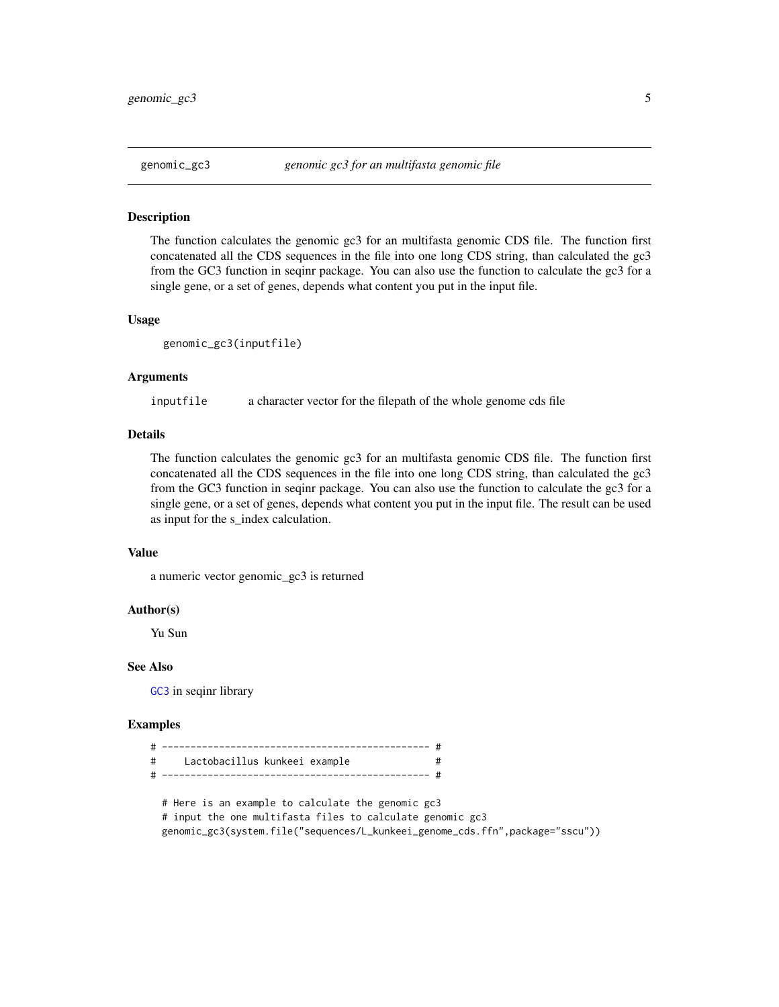<span id="page-4-0"></span>

#### Description

The function calculates the genomic gc3 for an multifasta genomic CDS file. The function first concatenated all the CDS sequences in the file into one long CDS string, than calculated the gc3 from the GC3 function in seqinr package. You can also use the function to calculate the gc3 for a single gene, or a set of genes, depends what content you put in the input file.

#### Usage

```
genomic_gc3(inputfile)
```
#### Arguments

inputfile a character vector for the filepath of the whole genome cds file

#### Details

The function calculates the genomic gc3 for an multifasta genomic CDS file. The function first concatenated all the CDS sequences in the file into one long CDS string, than calculated the gc3 from the GC3 function in seqinr package. You can also use the function to calculate the gc3 for a single gene, or a set of genes, depends what content you put in the input file. The result can be used as input for the s\_index calculation.

#### Value

a numeric vector genomic\_gc3 is returned

#### Author(s)

Yu Sun

#### See Also

[GC3](#page-0-0) in seqinr library

#### Examples

| # Lactobacillus kunkeei example                           |  |
|-----------------------------------------------------------|--|
|                                                           |  |
|                                                           |  |
| # Here is an example to calculate the genomic gc3         |  |
| # input the one multifasta files to calculate genomic gc3 |  |

genomic\_gc3(system.file("sequences/L\_kunkeei\_genome\_cds.ffn",package="sscu"))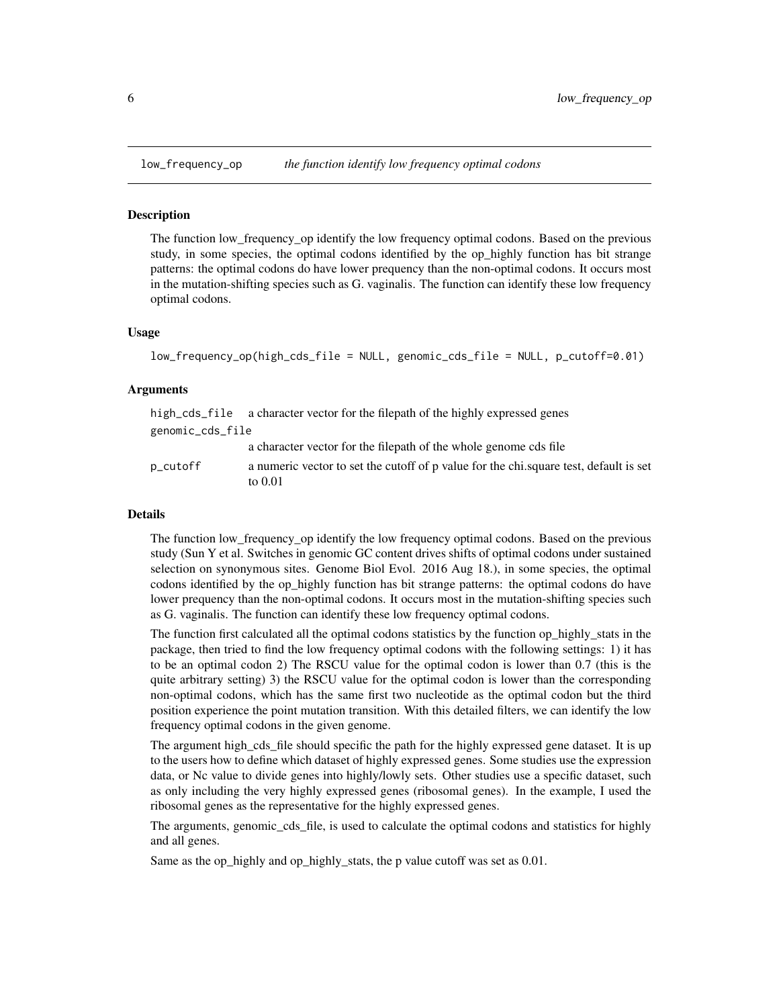<span id="page-5-0"></span>

#### Description

The function low\_frequency\_op identify the low frequency optimal codons. Based on the previous study, in some species, the optimal codons identified by the op-highly function has bit strange patterns: the optimal codons do have lower prequency than the non-optimal codons. It occurs most in the mutation-shifting species such as G. vaginalis. The function can identify these low frequency optimal codons.

#### Usage

```
low_frequency_op(high_cds_file = NULL, genomic_cds_file = NULL, p_cutoff=0.01)
```
#### Arguments

|                  | high_cds_file a character vector for the filepath of the highly expressed genes                  |
|------------------|--------------------------------------------------------------------------------------------------|
| genomic_cds_file |                                                                                                  |
|                  | a character vector for the filepath of the whole genome cds file                                 |
| p_cutoff         | a numeric vector to set the cutoff of p value for the chi.square test, default is set<br>to 0.01 |

#### Details

The function low\_frequency\_op identify the low frequency optimal codons. Based on the previous study (Sun Y et al. Switches in genomic GC content drives shifts of optimal codons under sustained selection on synonymous sites. Genome Biol Evol. 2016 Aug 18.), in some species, the optimal codons identified by the op\_highly function has bit strange patterns: the optimal codons do have lower prequency than the non-optimal codons. It occurs most in the mutation-shifting species such as G. vaginalis. The function can identify these low frequency optimal codons.

The function first calculated all the optimal codons statistics by the function op highly stats in the package, then tried to find the low frequency optimal codons with the following settings: 1) it has to be an optimal codon 2) The RSCU value for the optimal codon is lower than 0.7 (this is the quite arbitrary setting) 3) the RSCU value for the optimal codon is lower than the corresponding non-optimal codons, which has the same first two nucleotide as the optimal codon but the third position experience the point mutation transition. With this detailed filters, we can identify the low frequency optimal codons in the given genome.

The argument high\_cds\_file should specific the path for the highly expressed gene dataset. It is up to the users how to define which dataset of highly expressed genes. Some studies use the expression data, or Nc value to divide genes into highly/lowly sets. Other studies use a specific dataset, such as only including the very highly expressed genes (ribosomal genes). In the example, I used the ribosomal genes as the representative for the highly expressed genes.

The arguments, genomic\_cds\_file, is used to calculate the optimal codons and statistics for highly and all genes.

Same as the op\_highly and op\_highly\_stats, the p value cutoff was set as 0.01.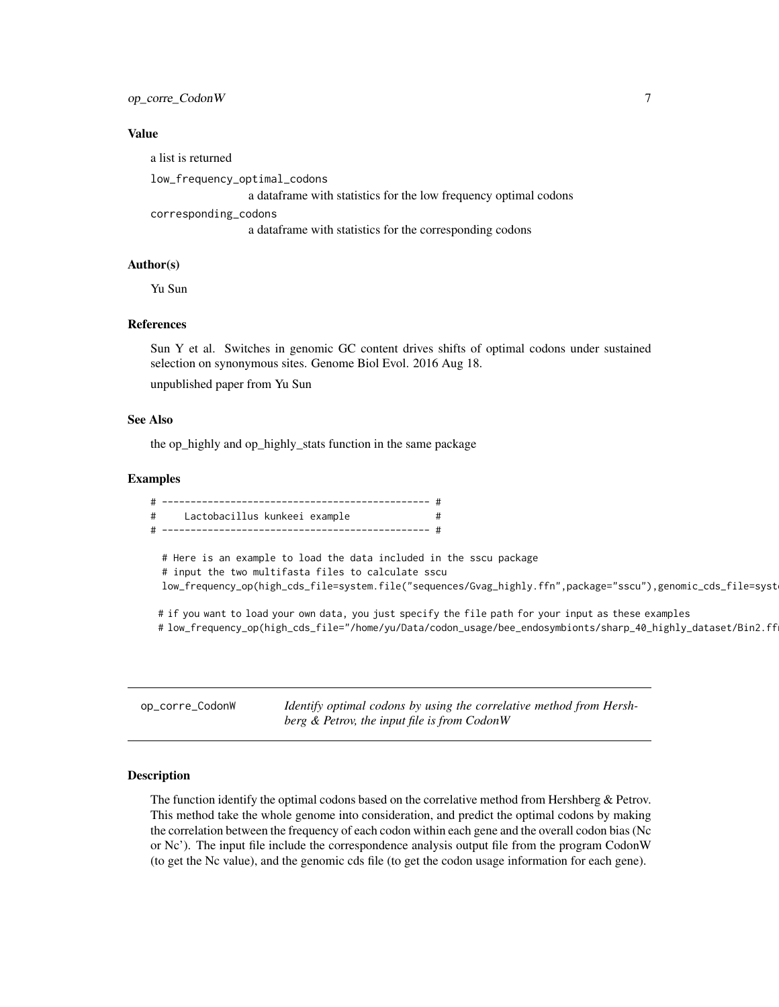#### <span id="page-6-0"></span>op\_corre\_CodonW 7

#### Value

a list is returned

low\_frequency\_optimal\_codons

a dataframe with statistics for the low frequency optimal codons

corresponding\_codons

a dataframe with statistics for the corresponding codons

#### Author(s)

Yu Sun

#### References

Sun Y et al. Switches in genomic GC content drives shifts of optimal codons under sustained selection on synonymous sites. Genome Biol Evol. 2016 Aug 18.

unpublished paper from Yu Sun

#### See Also

the op\_highly and op\_highly\_stats function in the same package

#### Examples

# ----------------------------------------------- # # Lactobacillus kunkeei example # # ----------------------------------------------- # # Here is an example to load the data included in the sscu package # input the two multifasta files to calculate sscu low\_frequency\_op(high\_cds\_file=system.file("sequences/Gvag\_highly.ffn",package="sscu"),genomic\_cds\_file=syst # if you want to load your own data, you just specify the file path for your input as these examples # low\_frequency\_op(high\_cds\_file="/home/yu/Data/codon\_usage/bee\_endosymbionts/sharp\_40\_highly\_dataset/Bin2.ff

op\_corre\_CodonW *Identify optimal codons by using the correlative method from Hershberg & Petrov, the input file is from CodonW*

#### Description

The function identify the optimal codons based on the correlative method from Hershberg  $\&$  Petrov. This method take the whole genome into consideration, and predict the optimal codons by making the correlation between the frequency of each codon within each gene and the overall codon bias (Nc or Nc'). The input file include the correspondence analysis output file from the program CodonW (to get the Nc value), and the genomic cds file (to get the codon usage information for each gene).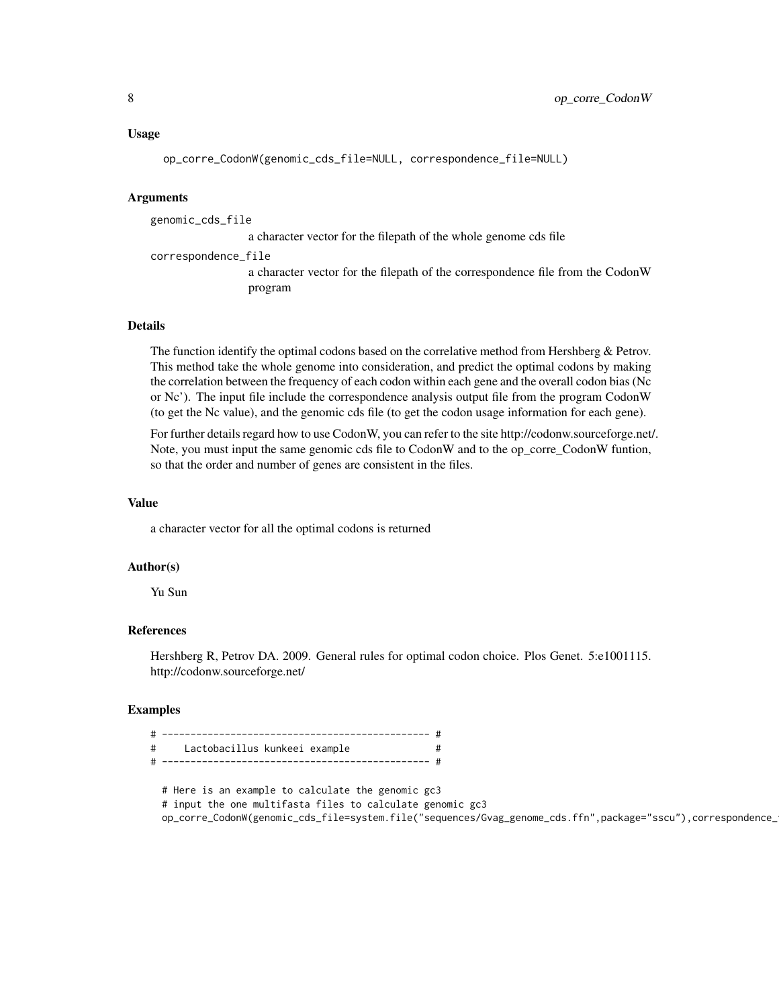#### Usage

op\_corre\_CodonW(genomic\_cds\_file=NULL, correspondence\_file=NULL)

#### Arguments

genomic\_cds\_file

a character vector for the filepath of the whole genome cds file

correspondence\_file a character vector for the filepath of the correspondence file from the CodonW program

#### Details

The function identify the optimal codons based on the correlative method from Hershberg & Petrov. This method take the whole genome into consideration, and predict the optimal codons by making the correlation between the frequency of each codon within each gene and the overall codon bias (Nc or Nc'). The input file include the correspondence analysis output file from the program CodonW (to get the Nc value), and the genomic cds file (to get the codon usage information for each gene).

For further details regard how to use CodonW, you can refer to the site http://codonw.sourceforge.net/. Note, you must input the same genomic cds file to CodonW and to the op\_corre\_CodonW funtion, so that the order and number of genes are consistent in the files.

#### Value

a character vector for all the optimal codons is returned

#### Author(s)

Yu Sun

#### References

Hershberg R, Petrov DA. 2009. General rules for optimal codon choice. Plos Genet. 5:e1001115. http://codonw.sourceforge.net/

#### Examples

| $\pm$ | Lactobacillus kunkeei example |  |
|-------|-------------------------------|--|
|       |                               |  |

# Here is an example to calculate the genomic gc3 # input the one multifasta files to calculate genomic gc3 op\_corre\_CodonW(genomic\_cds\_file=system.file("sequences/Gvag\_genome\_cds.ffn",package="sscu"),correspondence\_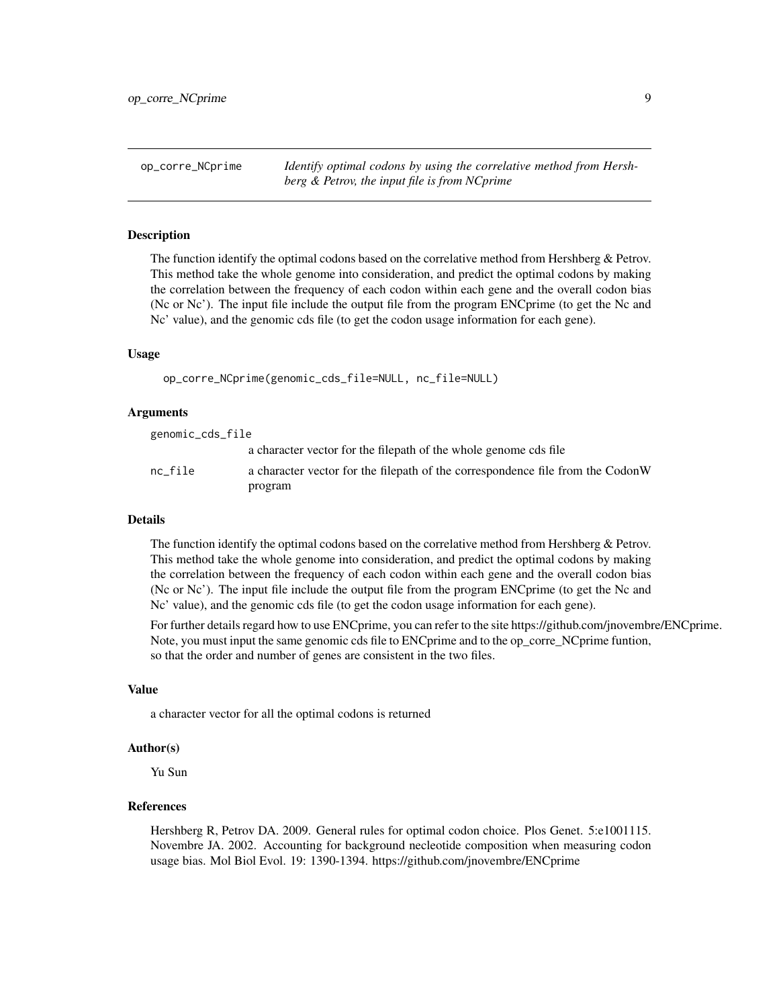<span id="page-8-0"></span>op\_corre\_NCprime *Identify optimal codons by using the correlative method from Hershberg & Petrov, the input file is from NCprime*

#### **Description**

The function identify the optimal codons based on the correlative method from Hershberg & Petrov. This method take the whole genome into consideration, and predict the optimal codons by making the correlation between the frequency of each codon within each gene and the overall codon bias (Nc or Nc'). The input file include the output file from the program ENCprime (to get the Nc and Nc' value), and the genomic cds file (to get the codon usage information for each gene).

#### Usage

```
op_corre_NCprime(genomic_cds_file=NULL, nc_file=NULL)
```
#### **Arguments**

genomic\_cds\_file

|         | a character vector for the filepath of the whole genome cds file               |
|---------|--------------------------------------------------------------------------------|
| nc file | a character vector for the filepath of the correspondence file from the CodonW |
|         | program                                                                        |

#### Details

The function identify the optimal codons based on the correlative method from Hershberg  $\&$  Petrov. This method take the whole genome into consideration, and predict the optimal codons by making the correlation between the frequency of each codon within each gene and the overall codon bias (Nc or Nc'). The input file include the output file from the program ENCprime (to get the Nc and Nc' value), and the genomic cds file (to get the codon usage information for each gene).

For further details regard how to use ENCprime, you can refer to the site https://github.com/jnovembre/ENCprime. Note, you must input the same genomic cds file to ENCprime and to the op\_corre\_NCprime funtion, so that the order and number of genes are consistent in the two files.

#### Value

a character vector for all the optimal codons is returned

#### Author(s)

Yu Sun

#### References

Hershberg R, Petrov DA. 2009. General rules for optimal codon choice. Plos Genet. 5:e1001115. Novembre JA. 2002. Accounting for background necleotide composition when measuring codon usage bias. Mol Biol Evol. 19: 1390-1394. https://github.com/jnovembre/ENCprime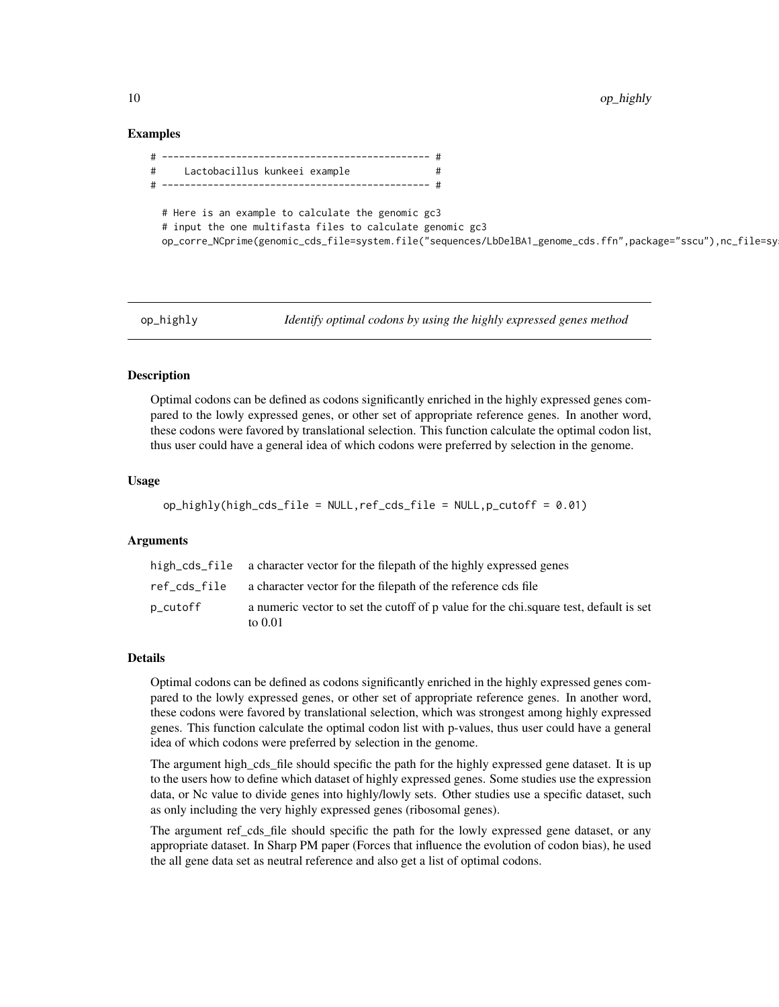#### <span id="page-9-0"></span>Examples

| # | Lactobacillus kunkeei example                                                                                  |                                                                                                              |
|---|----------------------------------------------------------------------------------------------------------------|--------------------------------------------------------------------------------------------------------------|
|   |                                                                                                                |                                                                                                              |
|   | # Here is an example to calculate the genomic gc3<br># input the one multifasta files to calculate genomic gc3 | op_corre_NCprime(genomic_cds_file=system.file("sequences/LbDelBA1_genome_cds.ffn",package="sscu"),nc_file=sy |

op\_highly *Identify optimal codons by using the highly expressed genes method*

#### **Description**

Optimal codons can be defined as codons significantly enriched in the highly expressed genes compared to the lowly expressed genes, or other set of appropriate reference genes. In another word, these codons were favored by translational selection. This function calculate the optimal codon list, thus user could have a general idea of which codons were preferred by selection in the genome.

#### Usage

```
op_highly(high_cds_file = NULL,ref_cds_file = NULL,p_cutoff = 0.01)
```
#### Arguments

|          | high_cds_file a character vector for the filepath of the highly expressed genes                   |
|----------|---------------------------------------------------------------------------------------------------|
|          | ref cds file a character vector for the filepath of the reference cds file                        |
| p_cutoff | a numeric vector to set the cutoff of p value for the chi, square test, default is set<br>to 0.01 |

#### Details

Optimal codons can be defined as codons significantly enriched in the highly expressed genes compared to the lowly expressed genes, or other set of appropriate reference genes. In another word, these codons were favored by translational selection, which was strongest among highly expressed genes. This function calculate the optimal codon list with p-values, thus user could have a general idea of which codons were preferred by selection in the genome.

The argument high\_cds\_file should specific the path for the highly expressed gene dataset. It is up to the users how to define which dataset of highly expressed genes. Some studies use the expression data, or Nc value to divide genes into highly/lowly sets. Other studies use a specific dataset, such as only including the very highly expressed genes (ribosomal genes).

The argument ref\_cds\_file should specific the path for the lowly expressed gene dataset, or any appropriate dataset. In Sharp PM paper (Forces that influence the evolution of codon bias), he used the all gene data set as neutral reference and also get a list of optimal codons.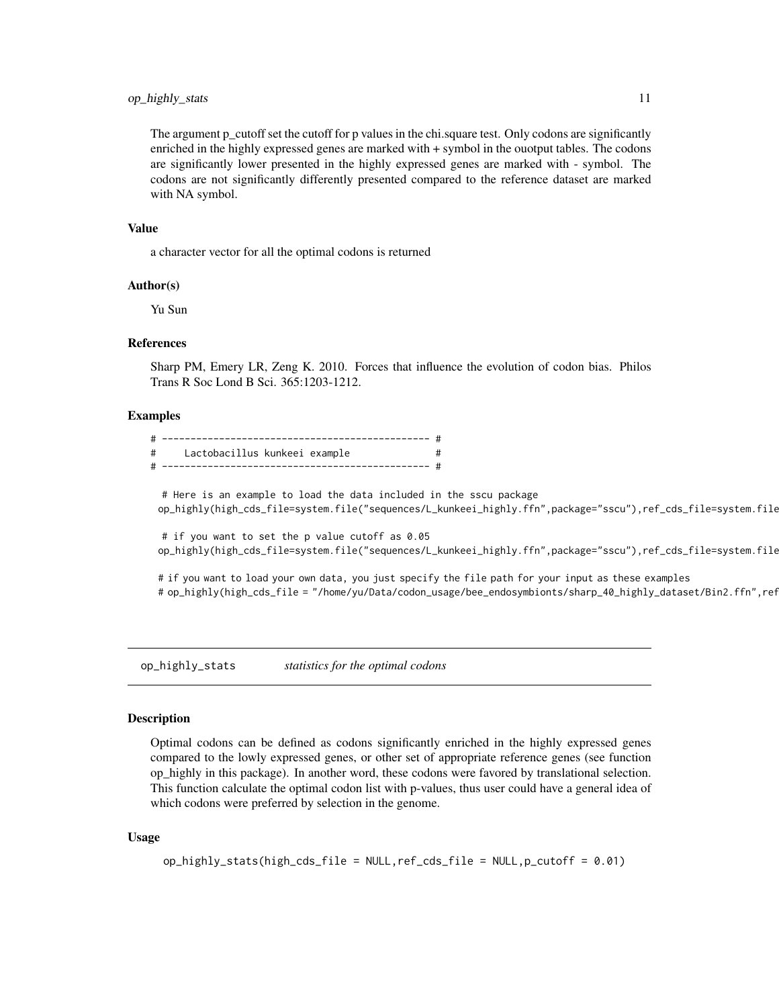#### <span id="page-10-0"></span>op\_highly\_stats 11

The argument p\_cutoff set the cutoff for p values in the chi.square test. Only codons are significantly enriched in the highly expressed genes are marked with + symbol in the ouotput tables. The codons are significantly lower presented in the highly expressed genes are marked with - symbol. The codons are not significantly differently presented compared to the reference dataset are marked with NA symbol.

#### Value

a character vector for all the optimal codons is returned

#### Author(s)

Yu Sun

#### References

Sharp PM, Emery LR, Zeng K. 2010. Forces that influence the evolution of codon bias. Philos Trans R Soc Lond B Sci. 365:1203-1212.

#### Examples

| # | Lactobacillus kunkeei example |  |
|---|-------------------------------|--|
|   |                               |  |

# Here is an example to load the data included in the sscu package op\_highly(high\_cds\_file=system.file("sequences/L\_kunkeei\_highly.ffn",package="sscu"),ref\_cds\_file=system.file

# if you want to set the p value cutoff as 0.05 op\_highly(high\_cds\_file=system.file("sequences/L\_kunkeei\_highly.ffn",package="sscu"),ref\_cds\_file=system.file

# if you want to load your own data, you just specify the file path for your input as these examples # op\_highly(high\_cds\_file = "/home/yu/Data/codon\_usage/bee\_endosymbionts/sharp\_40\_highly\_dataset/Bin2.ffn",ref

op\_highly\_stats *statistics for the optimal codons*

#### Description

Optimal codons can be defined as codons significantly enriched in the highly expressed genes compared to the lowly expressed genes, or other set of appropriate reference genes (see function op\_highly in this package). In another word, these codons were favored by translational selection. This function calculate the optimal codon list with p-values, thus user could have a general idea of which codons were preferred by selection in the genome.

#### Usage

```
op_highly_stats(high_cds_file = NULL,ref_cds_file = NULL,p_cutoff = 0.01)
```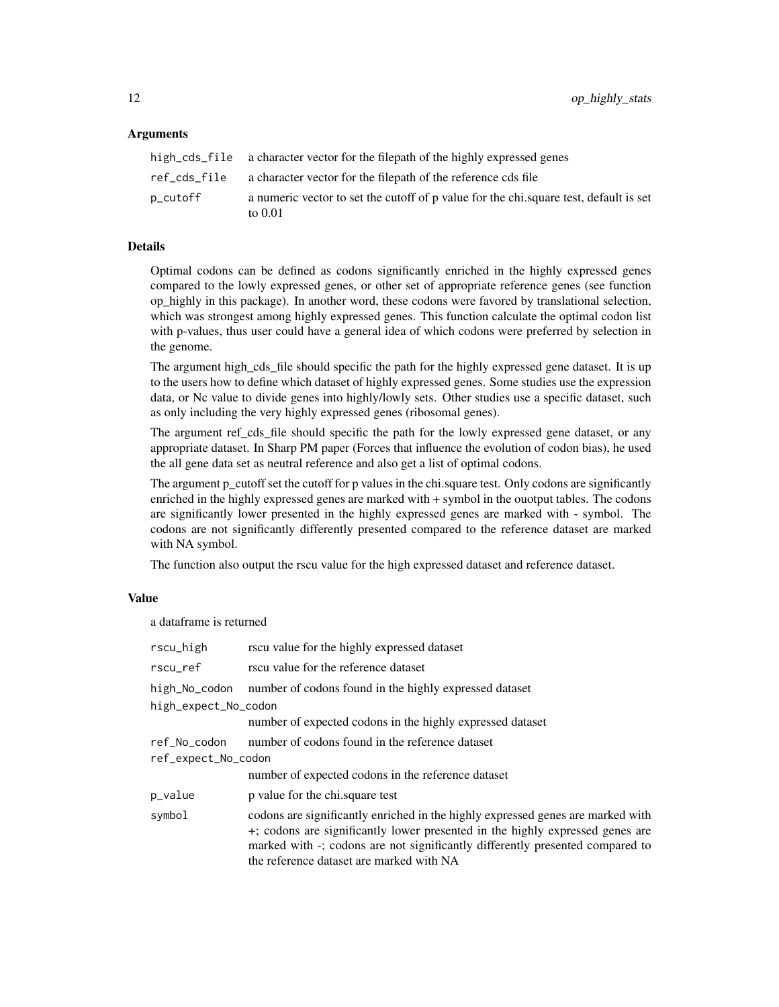#### Arguments

|          | high_cds_file a character vector for the filepath of the highly expressed genes                     |
|----------|-----------------------------------------------------------------------------------------------------|
|          | ref_cds_file a character vector for the filepath of the reference cds file                          |
| p_cutoff | a numeric vector to set the cutoff of p value for the chi, square test, default is set<br>to $0.01$ |

#### Details

Optimal codons can be defined as codons significantly enriched in the highly expressed genes compared to the lowly expressed genes, or other set of appropriate reference genes (see function op\_highly in this package). In another word, these codons were favored by translational selection, which was strongest among highly expressed genes. This function calculate the optimal codon list with p-values, thus user could have a general idea of which codons were preferred by selection in the genome.

The argument high\_cds\_file should specific the path for the highly expressed gene dataset. It is up to the users how to define which dataset of highly expressed genes. Some studies use the expression data, or Nc value to divide genes into highly/lowly sets. Other studies use a specific dataset, such as only including the very highly expressed genes (ribosomal genes).

The argument ref cds file should specific the path for the lowly expressed gene dataset, or any appropriate dataset. In Sharp PM paper (Forces that influence the evolution of codon bias), he used the all gene data set as neutral reference and also get a list of optimal codons.

The argument p\_cutoff set the cutoff for p values in the chi.square test. Only codons are significantly enriched in the highly expressed genes are marked with + symbol in the ouotput tables. The codons are significantly lower presented in the highly expressed genes are marked with - symbol. The codons are not significantly differently presented compared to the reference dataset are marked with NA symbol.

The function also output the rscu value for the high expressed dataset and reference dataset.

#### Value

a dataframe is returned

| rscu value for the highly expressed dataset                                                                                                                                                                                                                                                   |
|-----------------------------------------------------------------------------------------------------------------------------------------------------------------------------------------------------------------------------------------------------------------------------------------------|
| rscu value for the reference dataset                                                                                                                                                                                                                                                          |
| number of codons found in the highly expressed dataset                                                                                                                                                                                                                                        |
| high_expect_No_codon                                                                                                                                                                                                                                                                          |
| number of expected codons in the highly expressed dataset                                                                                                                                                                                                                                     |
| number of codons found in the reference dataset                                                                                                                                                                                                                                               |
| ref_expect_No_codon                                                                                                                                                                                                                                                                           |
| number of expected codons in the reference dataset                                                                                                                                                                                                                                            |
| p value for the chi, square test                                                                                                                                                                                                                                                              |
| codons are significantly enriched in the highly expressed genes are marked with<br>+; codons are significantly lower presented in the highly expressed genes are<br>marked with -; codons are not significantly differently presented compared to<br>the reference dataset are marked with NA |
|                                                                                                                                                                                                                                                                                               |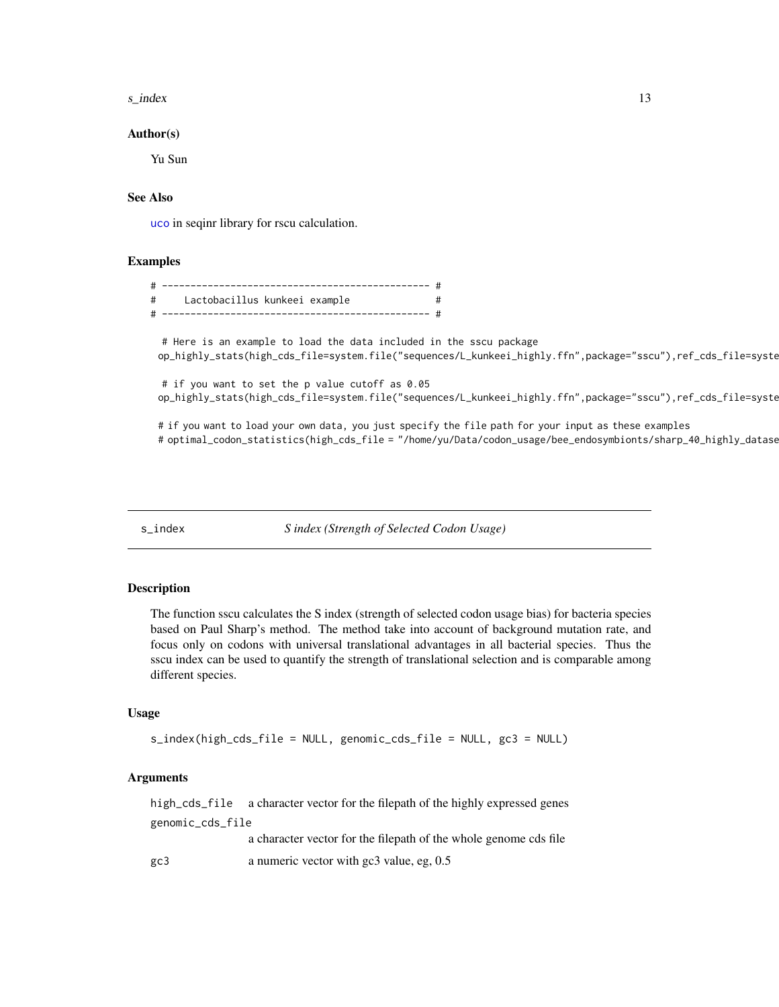#### <span id="page-12-0"></span> $s$ <sub>13</sub>  $\frac{13}{2}$

#### Author(s)

Yu Sun

#### See Also

[uco](#page-0-0) in seqinr library for rscu calculation.

#### Examples

| Lactobacillus kunkeei example<br>$\#$ |  |
|---------------------------------------|--|
|                                       |  |

# Here is an example to load the data included in the sscu package op\_highly\_stats(high\_cds\_file=system.file("sequences/L\_kunkeei\_highly.ffn",package="sscu"),ref\_cds\_file=syste

# if you want to set the p value cutoff as 0.05 op\_highly\_stats(high\_cds\_file=system.file("sequences/L\_kunkeei\_highly.ffn",package="sscu"),ref\_cds\_file=syste

# if you want to load your own data, you just specify the file path for your input as these examples # optimal\_codon\_statistics(high\_cds\_file = "/home/yu/Data/codon\_usage/bee\_endosymbionts/sharp\_40\_highly\_datase

s\_index *S index (Strength of Selected Codon Usage)*

#### Description

The function sscu calculates the S index (strength of selected codon usage bias) for bacteria species based on Paul Sharp's method. The method take into account of background mutation rate, and focus only on codons with universal translational advantages in all bacterial species. Thus the sscu index can be used to quantify the strength of translational selection and is comparable among different species.

#### Usage

```
s_index(high_cds_file = NULL, genomic_cds_file = NULL, gc3 = NULL)
```
#### Arguments

high\_cds\_file a character vector for the filepath of the highly expressed genes genomic\_cds\_file a character vector for the filepath of the whole genome cds file gc3 a numeric vector with gc3 value, eg, 0.5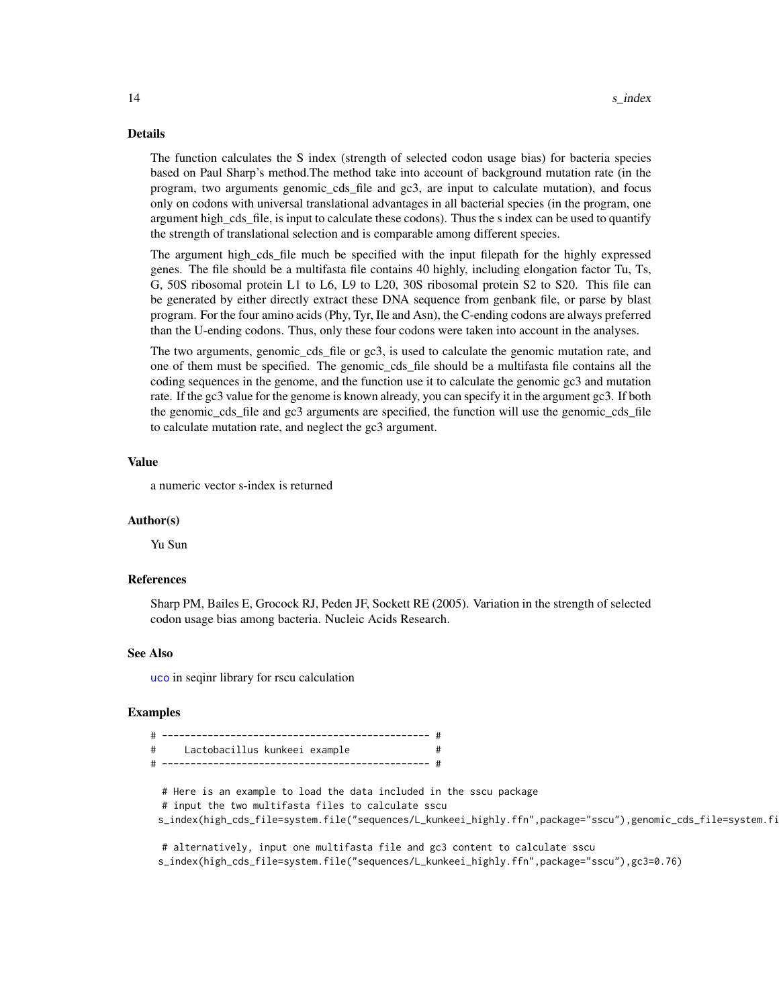#### Details

The function calculates the S index (strength of selected codon usage bias) for bacteria species based on Paul Sharp's method.The method take into account of background mutation rate (in the program, two arguments genomic\_cds\_file and gc3, are input to calculate mutation), and focus only on codons with universal translational advantages in all bacterial species (in the program, one argument high\_cds\_file, is input to calculate these codons). Thus the s index can be used to quantify the strength of translational selection and is comparable among different species.

The argument high cds file much be specified with the input filepath for the highly expressed genes. The file should be a multifasta file contains 40 highly, including elongation factor Tu, Ts, G, 50S ribosomal protein L1 to L6, L9 to L20, 30S ribosomal protein S2 to S20. This file can be generated by either directly extract these DNA sequence from genbank file, or parse by blast program. For the four amino acids (Phy, Tyr, Ile and Asn), the C-ending codons are always preferred than the U-ending codons. Thus, only these four codons were taken into account in the analyses.

The two arguments, genomic\_cds\_file or gc3, is used to calculate the genomic mutation rate, and one of them must be specified. The genomic cds file should be a multifasta file contains all the coding sequences in the genome, and the function use it to calculate the genomic gc3 and mutation rate. If the gc3 value for the genome is known already, you can specify it in the argument gc3. If both the genomic\_cds\_file and gc3 arguments are specified, the function will use the genomic\_cds\_file to calculate mutation rate, and neglect the gc3 argument.

#### Value

a numeric vector s-index is returned

#### Author(s)

Yu Sun

#### References

Sharp PM, Bailes E, Grocock RJ, Peden JF, Sockett RE (2005). Variation in the strength of selected codon usage bias among bacteria. Nucleic Acids Research.

#### See Also

[uco](#page-0-0) in seqinr library for rscu calculation

#### Examples

| #<br>Lactobacillus kunkeei example                                                                            |
|---------------------------------------------------------------------------------------------------------------|
|                                                                                                               |
|                                                                                                               |
| # Here is an example to load the data included in the sscu package                                            |
| # input the two multifasta files to calculate sscu                                                            |
| s_index(high_cds_file=system.file("sequences/L_kunkeei_highly.ffn",package="sscu"),genomic_cds_file=system.fi |
| # alternatively, input one multifasta file and gc3 content to calculate sscu                                  |
| s_index(high_cds_file=system.file("sequences/L_kunkeei_highly.ffn",package="sscu"),gc3=0.76)                  |

<span id="page-13-0"></span>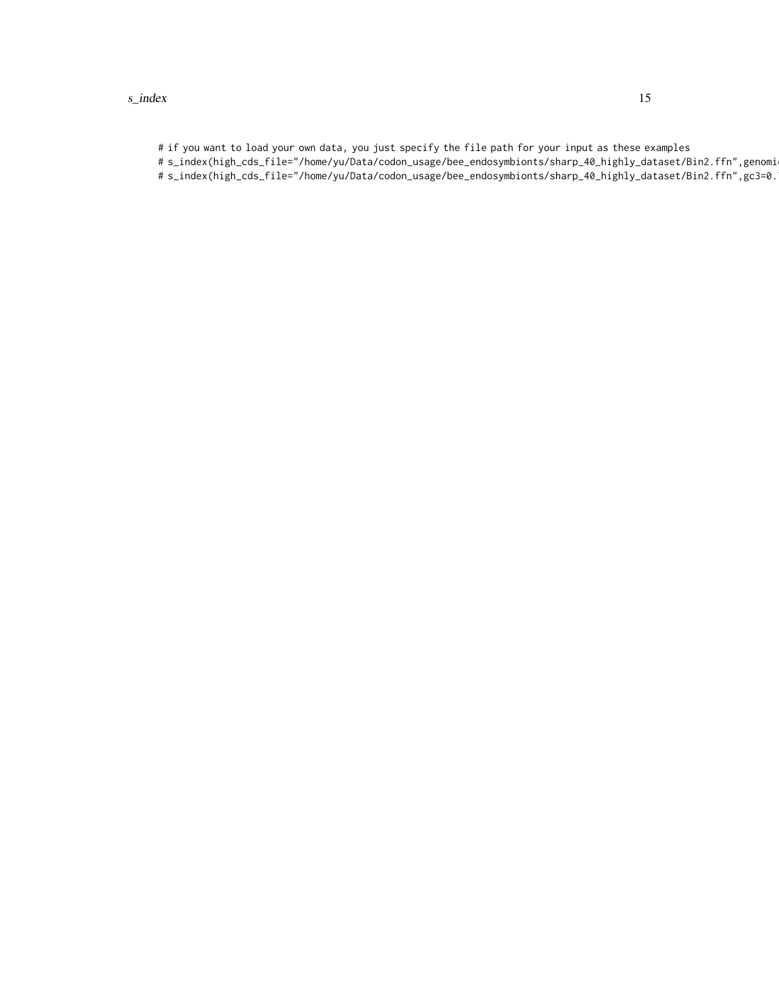# if you want to load your own data, you just specify the file path for your input as these examples

- # s\_index(high\_cds\_file="/home/yu/Data/codon\_usage/bee\_endosymbionts/sharp\_40\_highly\_dataset/Bin2.ffn",genomi
- # s\_index(high\_cds\_file="/home/yu/Data/codon\_usage/bee\_endosymbionts/sharp\_40\_highly\_dataset/Bin2.ffn",gc3=0.76)